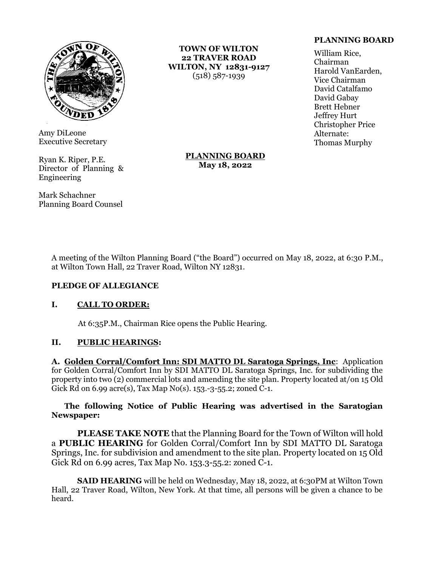

Amy DiLeone Executive Secretary

Ryan K. Riper, P.E. Director of Planning & Engineering

Mark Schachner Planning Board Counsel

**TOWN OF WILTON 22 TRAVER ROAD WILTON, NY 12831-9127** (518) 587-1939

## **PLANNING BOARD**

William Rice, Chairman Harold VanEarden, Vice Chairman David Catalfamo David Gabay Brett Hebner Jeffrey Hurt Christopher Price Alternate: Thomas Murphy

## **PLANNING BOARD May 18, 2022**

A meeting of the Wilton Planning Board ("the Board") occurred on May 18, 2022, at 6:30 P.M., at Wilton Town Hall, 22 Traver Road, Wilton NY 12831.

#### **PLEDGE OF ALLEGIANCE**

# **I. CALL TO ORDER:**

At 6:35P.M., Chairman Rice opens the Public Hearing.

#### **II. PUBLIC HEARINGS:**

**A. Golden Corral/Comfort Inn: SDI MATTO DL Saratoga Springs, Inc**: Application for Golden Corral/Comfort Inn by SDI MATTO DL Saratoga Springs, Inc. for subdividing the property into two (2) commercial lots and amending the site plan. Property located at/on 15 Old Gick Rd on 6.99 acre(s), Tax Map No(s). 153.-3-55.2; zoned C-1.

## **The following Notice of Public Hearing was advertised in the Saratogian Newspaper:**

**PLEASE TAKE NOTE** that the Planning Board for the Town of Wilton will hold a **PUBLIC HEARING** for Golden Corral/Comfort Inn by SDI MATTO DL Saratoga Springs, Inc. for subdivision and amendment to the site plan. Property located on 15 Old Gick Rd on 6.99 acres, Tax Map No. 153.3-55.2: zoned C-1.

**SAID HEARING** will be held on Wednesday, May 18, 2022, at 6:30PM at Wilton Town Hall, 22 Traver Road, Wilton, New York. At that time, all persons will be given a chance to be heard.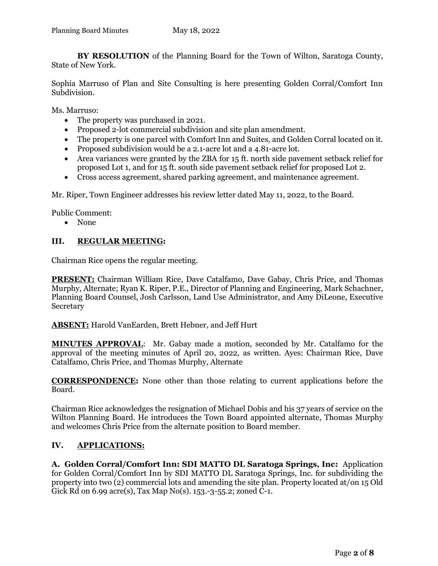**BY RESOLUTION** of the Planning Board for the Town of Wilton, Saratoga County, State of New York.

Sophia Marruso of Plan and Site Consulting is here presenting Golden Corral/Comfort Inn Subdivision.

Ms. Marruso:

- The property was purchased in 2021.
- Proposed 2-lot commercial subdivision and site plan amendment.
- The property is one parcel with Comfort Inn and Suites, and Golden Corral located on it.
- Proposed subdivision would be a 2.1-acre lot and a 4.81-acre lot.
- Area variances were granted by the ZBA for 15 ft. north side pavement setback relief for proposed Lot 1, and for 15 ft. south side pavement setback relief for proposed Lot 2.
- Cross access agreement, shared parking agreement, and maintenance agreement.

Mr. Riper, Town Engineer addresses his review letter dated May 11, 2022, to the Board.

Public Comment:

• None

# **III. REGULAR MEETING:**

Chairman Rice opens the regular meeting.

**PRESENT:** Chairman William Rice, Dave Catalfamo, Dave Gabay, Chris Price, and Thomas Murphy, Alternate; Ryan K. Riper, P.E., Director of Planning and Engineering, Mark Schachner, Planning Board Counsel, Josh Carlsson, Land Use Administrator, and Amy DiLeone, Executive Secretary

**ABSENT:** Harold VanEarden, Brett Hebner, and Jeff Hurt

**MINUTES APPROVAL**: Mr. Gabay made a motion, seconded by Mr. Catalfamo for the approval of the meeting minutes of April 20, 2022, as written. Ayes: Chairman Rice, Dave Catalfamo, Chris Price, and Thomas Murphy, Alternate

**CORRESPONDENCE:** None other than those relating to current applications before the Board.

Chairman Rice acknowledges the resignation of Michael Dobis and his 37 years of service on the Wilton Planning Board. He introduces the Town Board appointed alternate, Thomas Murphy and welcomes Chris Price from the alternate position to Board member.

# **IV. APPLICATIONS:**

**A. Golden Corral/Comfort Inn: SDI MATTO DL Saratoga Springs, Inc:** Application for Golden Corral/Comfort Inn by SDI MATTO DL Saratoga Springs, Inc. for subdividing the property into two (2) commercial lots and amending the site plan. Property located at/on 15 Old Gick Rd on 6.99 acre(s), Tax Map No(s). 153.-3-55.2; zoned C-1.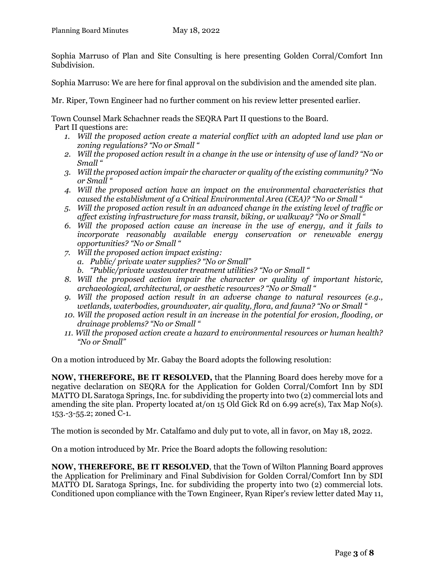Sophia Marruso of Plan and Site Consulting is here presenting Golden Corral/Comfort Inn Subdivision.

Sophia Marruso: We are here for final approval on the subdivision and the amended site plan.

Mr. Riper, Town Engineer had no further comment on his review letter presented earlier.

Town Counsel Mark Schachner reads the SEQRA Part II questions to the Board.

Part II questions are:

- *1. Will the proposed action create a material conflict with an adopted land use plan or zoning regulations? "No or Small "*
- *2. Will the proposed action result in a change in the use or intensity of use of land? "No or Small "*
- *3. Will the proposed action impair the character or quality of the existing community? "No or Small "*
- *4. Will the proposed action have an impact on the environmental characteristics that caused the establishment of a Critical Environmental Area (CEA)? "No or Small "*
- *5. Will the proposed action result in an advanced change in the existing level of traffic or affect existing infrastructure for mass transit, biking, or walkway? "No or Small "*
- *6. Will the proposed action cause an increase in the use of energy, and it fails to incorporate reasonably available energy conservation or renewable energy opportunities? "No or Small "*
- *7. Will the proposed action impact existing:*
	- *a. Public/ private water supplies? "No or Small"*
	- *b. "Public/private wastewater treatment utilities? "No or Small "*
- *8. Will the proposed action impair the character or quality of important historic, archaeological, architectural, or aesthetic resources? "No or Small "*
- *9. Will the proposed action result in an adverse change to natural resources (e.g., wetlands, waterbodies, groundwater, air quality, flora, and fauna? "No or Small "*
- *10. Will the proposed action result in an increase in the potential for erosion, flooding, or drainage problems? "No or Small "*
- *11. Will the proposed action create a hazard to environmental resources or human health? "No or Small"*

On a motion introduced by Mr. Gabay the Board adopts the following resolution:

**NOW, THEREFORE, BE IT RESOLVED,** that the Planning Board does hereby move for a negative declaration on SEQRA for the Application for Golden Corral/Comfort Inn by SDI MATTO DL Saratoga Springs, Inc. for subdividing the property into two (2) commercial lots and amending the site plan. Property located at/on 15 Old Gick Rd on 6.99 acre(s), Tax Map No(s). 153.-3-55.2; zoned C-1.

The motion is seconded by Mr. Catalfamo and duly put to vote, all in favor, on May 18, 2022.

On a motion introduced by Mr. Price the Board adopts the following resolution:

**NOW, THEREFORE, BE IT RESOLVED**, that the Town of Wilton Planning Board approves the Application for Preliminary and Final Subdivision for Golden Corral/Comfort Inn by SDI MATTO DL Saratoga Springs, Inc. for subdividing the property into two (2) commercial lots. Conditioned upon compliance with the Town Engineer, Ryan Riper's review letter dated May 11,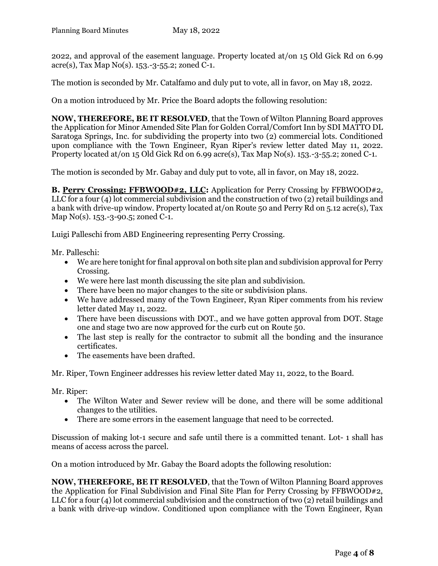2022, and approval of the easement language. Property located at/on 15 Old Gick Rd on 6.99 acre(s), Tax Map No(s). 153.-3-55.2; zoned C-1.

The motion is seconded by Mr. Catalfamo and duly put to vote, all in favor, on May 18, 2022.

On a motion introduced by Mr. Price the Board adopts the following resolution:

**NOW, THEREFORE, BE IT RESOLVED**, that the Town of Wilton Planning Board approves the Application for Minor Amended Site Plan for Golden Corral/Comfort Inn by SDI MATTO DL Saratoga Springs, Inc. for subdividing the property into two (2) commercial lots. Conditioned upon compliance with the Town Engineer, Ryan Riper's review letter dated May 11, 2022. Property located at/on 15 Old Gick Rd on 6.99 acre(s), Tax Map No(s). 153.-3-55.2; zoned C-1.

The motion is seconded by Mr. Gabay and duly put to vote, all in favor, on May 18, 2022.

**B. Perry Crossing: FFBWOOD#2, LLC:** Application for Perry Crossing by FFBWOOD#2, LLC for a four (4) lot commercial subdivision and the construction of two (2) retail buildings and a bank with drive-up window. Property located at/on Route 50 and Perry Rd on 5.12 acre(s), Tax Map No(s). 153.-3-90.5; zoned C-1.

Luigi Palleschi from ABD Engineering representing Perry Crossing.

Mr. Palleschi:

- We are here tonight for final approval on both site plan and subdivision approval for Perry Crossing.
- We were here last month discussing the site plan and subdivision.
- There have been no major changes to the site or subdivision plans.
- We have addressed many of the Town Engineer, Ryan Riper comments from his review letter dated May 11, 2022.
- There have been discussions with DOT., and we have gotten approval from DOT. Stage one and stage two are now approved for the curb cut on Route 50.
- The last step is really for the contractor to submit all the bonding and the insurance certificates.
- The easements have been drafted.

Mr. Riper, Town Engineer addresses his review letter dated May 11, 2022, to the Board.

Mr. Riper:

- The Wilton Water and Sewer review will be done, and there will be some additional changes to the utilities.
- There are some errors in the easement language that need to be corrected.

Discussion of making lot-1 secure and safe until there is a committed tenant. Lot- 1 shall has means of access across the parcel.

On a motion introduced by Mr. Gabay the Board adopts the following resolution:

**NOW, THEREFORE, BE IT RESOLVED**, that the Town of Wilton Planning Board approves the Application for Final Subdivision and Final Site Plan for Perry Crossing by FFBWOOD#2, LLC for a four (4) lot commercial subdivision and the construction of two (2) retail buildings and a bank with drive-up window. Conditioned upon compliance with the Town Engineer, Ryan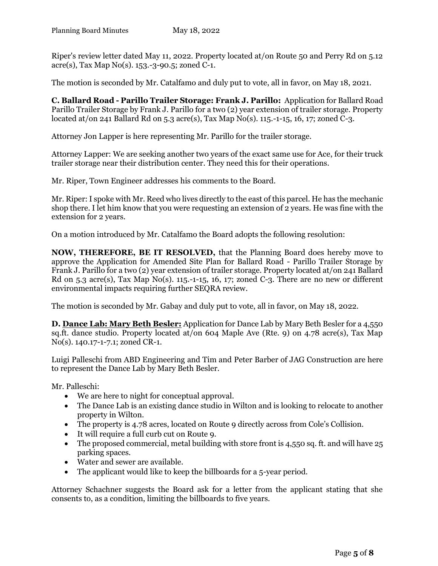Riper's review letter dated May 11, 2022. Property located at/on Route 50 and Perry Rd on 5.12 acre(s), Tax Map No(s). 153.-3-90.5; zoned C-1.

The motion is seconded by Mr. Catalfamo and duly put to vote, all in favor, on May 18, 2021.

**C. Ballard Road - Parillo Trailer Storage: Frank J. Parillo:** Application for Ballard Road Parillo Trailer Storage by Frank J. Parillo for a two (2) year extension of trailer storage. Property located at/on 241 Ballard Rd on 5.3 acre(s), Tax Map No(s). 115.-1-15, 16, 17; zoned C-3.

Attorney Jon Lapper is here representing Mr. Parillo for the trailer storage.

Attorney Lapper: We are seeking another two years of the exact same use for Ace, for their truck trailer storage near their distribution center. They need this for their operations.

Mr. Riper, Town Engineer addresses his comments to the Board.

Mr. Riper: I spoke with Mr. Reed who lives directly to the east of this parcel. He has the mechanic shop there. I let him know that you were requesting an extension of 2 years. He was fine with the extension for 2 years.

On a motion introduced by Mr. Catalfamo the Board adopts the following resolution:

**NOW, THEREFORE, BE IT RESOLVED,** that the Planning Board does hereby move to approve the Application for Amended Site Plan for Ballard Road - Parillo Trailer Storage by Frank J. Parillo for a two (2) year extension of trailer storage. Property located at/on 241 Ballard Rd on 5.3 acre(s), Tax Map No(s). 115.-1-15, 16, 17; zoned C-3. There are no new or different environmental impacts requiring further SEQRA review.

The motion is seconded by Mr. Gabay and duly put to vote, all in favor, on May 18, 2022.

**D. Dance Lab: Mary Beth Besler:** Application for Dance Lab by Mary Beth Besler for a 4,550 sq.ft. dance studio. Property located at/on 604 Maple Ave (Rte. 9) on 4.78 acre(s), Tax Map No(s). 140.17-1-7.1; zoned CR-1.

Luigi Palleschi from ABD Engineering and Tim and Peter Barber of JAG Construction are here to represent the Dance Lab by Mary Beth Besler.

Mr. Palleschi:

- We are here to night for conceptual approval.
- The Dance Lab is an existing dance studio in Wilton and is looking to relocate to another property in Wilton.
- The property is 4.78 acres, located on Route 9 directly across from Cole's Collision.
- It will require a full curb cut on Route 9.
- The proposed commercial, metal building with store front is  $4,550$  sq. ft. and will have  $25$ parking spaces.
- Water and sewer are available.
- The applicant would like to keep the billboards for a 5-year period.

Attorney Schachner suggests the Board ask for a letter from the applicant stating that she consents to, as a condition, limiting the billboards to five years.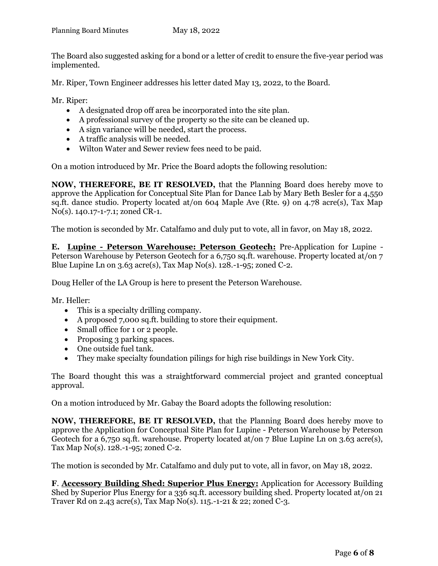The Board also suggested asking for a bond or a letter of credit to ensure the five-year period was implemented.

Mr. Riper, Town Engineer addresses his letter dated May 13, 2022, to the Board.

Mr. Riper:

- A designated drop off area be incorporated into the site plan.
- A professional survey of the property so the site can be cleaned up.
- A sign variance will be needed, start the process.
- A traffic analysis will be needed.
- Wilton Water and Sewer review fees need to be paid.

On a motion introduced by Mr. Price the Board adopts the following resolution:

**NOW, THEREFORE, BE IT RESOLVED,** that the Planning Board does hereby move to approve the Application for Conceptual Site Plan for Dance Lab by Mary Beth Besler for a 4,550 sq.ft. dance studio. Property located at/on 604 Maple Ave (Rte. 9) on 4.78 acre(s), Tax Map No(s). 140.17-1-7.1; zoned CR-1.

The motion is seconded by Mr. Catalfamo and duly put to vote, all in favor, on May 18, 2022.

**E. Lupine - Peterson Warehouse: Peterson Geotech:** Pre-Application for Lupine - Peterson Warehouse by Peterson Geotech for a 6,750 sq.ft. warehouse. Property located at/on 7 Blue Lupine Ln on  $3.63$  acre(s), Tax Map No(s). 128.-1-95; zoned C-2.

Doug Heller of the LA Group is here to present the Peterson Warehouse.

Mr. Heller:

- This is a specialty drilling company.
- A proposed 7,000 sq.ft. building to store their equipment.
- Small office for 1 or 2 people.
- Proposing 3 parking spaces.
- One outside fuel tank.
- They make specialty foundation pilings for high rise buildings in New York City.

The Board thought this was a straightforward commercial project and granted conceptual approval.

On a motion introduced by Mr. Gabay the Board adopts the following resolution:

**NOW, THEREFORE, BE IT RESOLVED,** that the Planning Board does hereby move to approve the Application for Conceptual Site Plan for Lupine - Peterson Warehouse by Peterson Geotech for a 6,750 sq.ft. warehouse. Property located at/on 7 Blue Lupine Ln on 3.63 acre(s), Tax Map No(s). 128.-1-95; zoned C-2.

The motion is seconded by Mr. Catalfamo and duly put to vote, all in favor, on May 18, 2022.

**F**. **Accessory Building Shed: Superior Plus Energy:** Application for Accessory Building Shed by Superior Plus Energy for a 336 sq.ft. accessory building shed. Property located at/on 21 Traver Rd on 2.43 acre(s), Tax Map No(s). 115.-1-21 & 22; zoned C-3.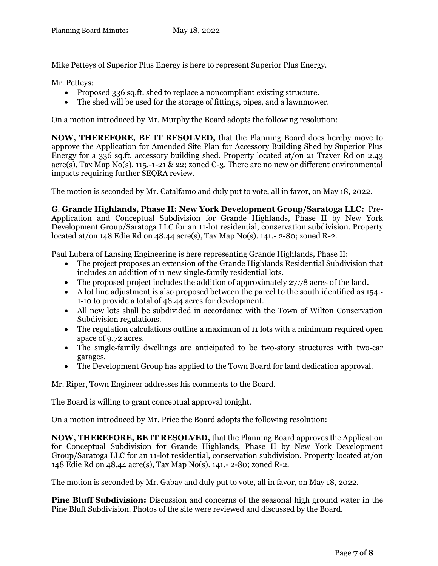Mike Petteys of Superior Plus Energy is here to represent Superior Plus Energy.

Mr. Petteys:

- Proposed 336 sq.ft. shed to replace a noncompliant existing structure.
- The shed will be used for the storage of fittings, pipes, and a lawnmower.

On a motion introduced by Mr. Murphy the Board adopts the following resolution:

**NOW, THEREFORE, BE IT RESOLVED,** that the Planning Board does hereby move to approve the Application for Amended Site Plan for Accessory Building Shed by Superior Plus Energy for a 336 sq.ft. accessory building shed. Property located at/on 21 Traver Rd on 2.43 acre(s), Tax Map No(s). 115.-1-21 & 22; zoned C-3. There are no new or different environmental impacts requiring further SEQRA review.

The motion is seconded by Mr. Catalfamo and duly put to vote, all in favor, on May 18, 2022.

**G**. **Grande Highlands, Phase II: New York Development Group/Saratoga LLC:** Pre-Application and Conceptual Subdivision for Grande Highlands, Phase II by New York Development Group/Saratoga LLC for an 11-lot residential, conservation subdivision. Property located at/on 148 Edie Rd on 48.44 acre(s), Tax Map No(s). 141.- 2-80; zoned R-2.

Paul Lubera of Lansing Engineering is here representing Grande Highlands, Phase II:

- The project proposes an extension of the Grande Highlands Residential Subdivision that includes an addition of 11 new single‐family residential lots.
- The proposed project includes the addition of approximately 27.78 acres of the land.
- A lot line adjustment is also proposed between the parcel to the south identified as 154. 1‐10 to provide a total of 48.44 acres for development.
- All new lots shall be subdivided in accordance with the Town of Wilton Conservation Subdivision regulations.
- The regulation calculations outline a maximum of 11 lots with a minimum required open space of 9.72 acres.
- The single-family dwellings are anticipated to be two-story structures with two-car garages.
- The Development Group has applied to the Town Board for land dedication approval.

Mr. Riper, Town Engineer addresses his comments to the Board.

The Board is willing to grant conceptual approval tonight.

On a motion introduced by Mr. Price the Board adopts the following resolution:

**NOW, THEREFORE, BE IT RESOLVED,** that the Planning Board approves the Application for Conceptual Subdivision for Grande Highlands, Phase II by New York Development Group/Saratoga LLC for an 11-lot residential, conservation subdivision. Property located at/on 148 Edie Rd on 48.44 acre(s), Tax Map No(s). 141.- 2-80; zoned R-2.

The motion is seconded by Mr. Gabay and duly put to vote, all in favor, on May 18, 2022.

**Pine Bluff Subdivision:** Discussion and concerns of the seasonal high ground water in the Pine Bluff Subdivision. Photos of the site were reviewed and discussed by the Board.